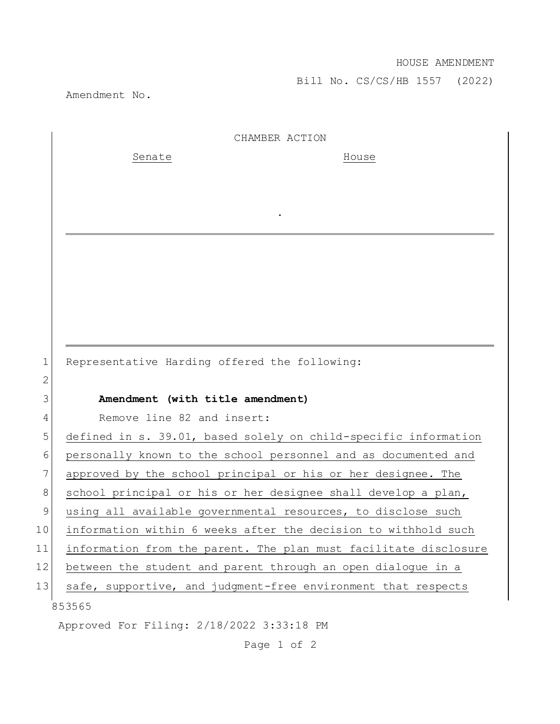Bill No. CS/CS/HB 1557 (2022)

Amendment No.

|    | CHAMBER ACTION                                                   |
|----|------------------------------------------------------------------|
|    | Senate<br>House                                                  |
|    |                                                                  |
|    |                                                                  |
|    |                                                                  |
|    |                                                                  |
|    |                                                                  |
|    |                                                                  |
|    |                                                                  |
|    |                                                                  |
|    |                                                                  |
| 1  | Representative Harding offered the following:                    |
| 2  |                                                                  |
| 3  | Amendment (with title amendment)                                 |
| 4  | Remove line 82 and insert:                                       |
| 5  | defined in s. 39.01, based solely on child-specific information  |
| 6  | personally known to the school personnel and as documented and   |
| 7  | approved by the school principal or his or her designee. The     |
| 8  | school principal or his or her designee shall develop a plan,    |
| 9  | using all available governmental resources, to disclose such     |
| 10 | information within 6 weeks after the decision to withhold such   |
| 11 | information from the parent. The plan must facilitate disclosure |
| 12 | between the student and parent through an open dialogue in a     |
| 13 | safe, supportive, and judgment-free environment that respects    |
|    | 853565                                                           |

Approved For Filing: 2/18/2022 3:33:18 PM

Page 1 of 2